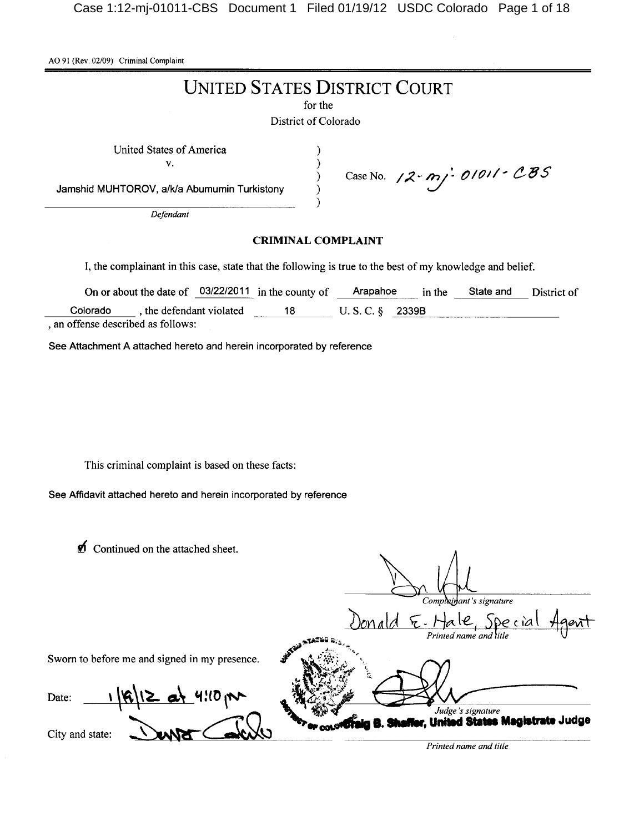AO 91 (Rev. 02/09) Criminal Complaint

# **UNITED STATES DISTRICT COURT**

for the

District of Colorado

 $\lambda$ 

 $\mathcal{E}$ 

 $\mathcal{E}$ 

 $\mathcal{E}$  $\lambda$ 

United States of America

 $V<sub>r</sub>$ 

Jamshid MUHTOROV, a/k/a Abumumin Turkistony

Defendant

# **CRIMINAL COMPLAINT**

Case No. 12-mj-01011-CBS

I, the complainant in this case, state that the following is true to the best of my knowledge and belief.

|                                  | On or about the date of $03/22/2011$ in the county of |    | Arapahoe             | in the | State and | District of |
|----------------------------------|-------------------------------------------------------|----|----------------------|--------|-----------|-------------|
| Colorado                         | the defendant violated                                | 18 | $U.S. C.$ $\&$ 2339B |        |           |             |
| an offense described as follows: |                                                       |    |                      |        |           |             |

See Attachment A attached hereto and herein incorporated by reference

This criminal complaint is based on these facts:

See Affidavit attached hereto and herein incorporated by reference

Continued on the attached sheet.

| v<br>Communed on the attached sheet.          | Complainant's signature                                 |
|-----------------------------------------------|---------------------------------------------------------|
|                                               | Special<br>E.Hale<br>$b$ nala<br>Printed name and litle |
| Sworn to before me and signed in my presence. |                                                         |
| $ R 12$ at 4:10 pm<br>Date:                   | The only of the Shaffer, United States Magistrate Judge |
| City and state:                               |                                                         |

Printed name and title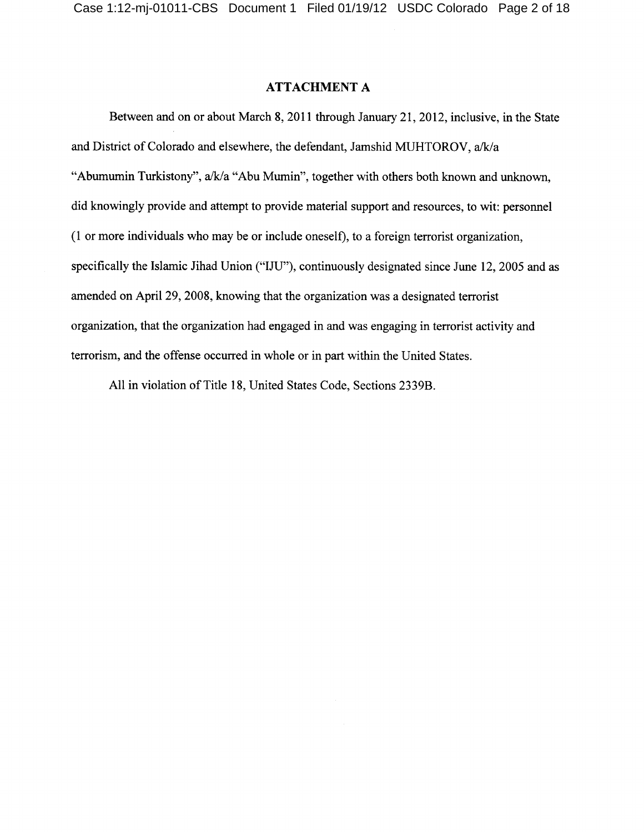## **ATTACHMENT A**

Between and on or about March 8, 2011 through January 21, 2012, inclusive, in the State and District of Colorado and elsewhere, the defendant, Jamshid MUHTOROV, a/k/a "Abumumin Turkistony", a/k/a "Abu Mumin", together with others both known and unknown, did knowingly provide and attempt to provide material support and resources, to wit: personnel (1 or more individuals who may be or include oneself), to a foreign terrorist organization, specifically the Islamic Jihad Union ("IJU"), continuously designated since June 12, 2005 and as amended on April 29, 2008, knowing that the organization was a designated terrorist organization, that the organization had engaged in and was engaging in terrorist activity and terrorism, and the offense occurred in whole or in part within the United States.

All in violation of Title 18, United States Code, Sections 2339B.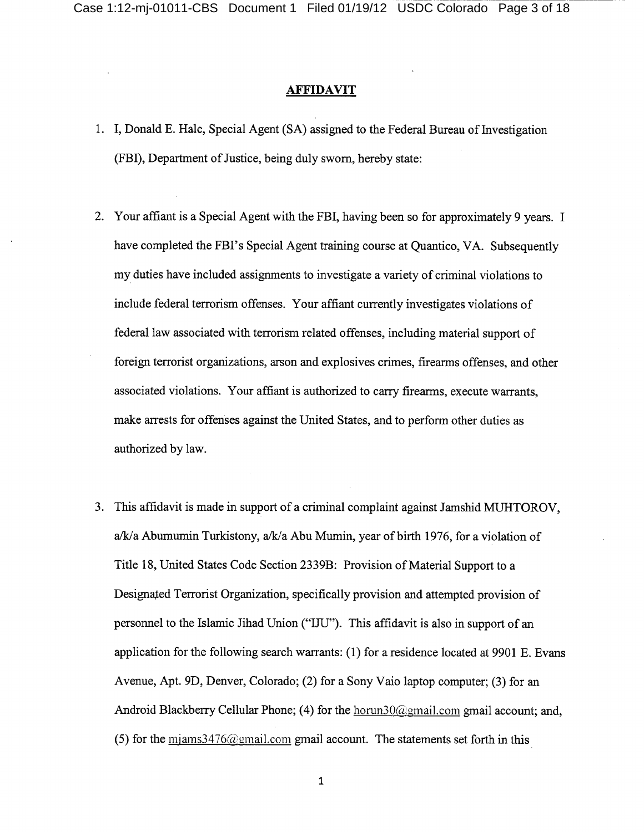## **AFFIDAVIT**

- 1. I, Donald E. Hale, Special Agent (SA) assigned to the Federal Bureau of Investigation (FBI), Department of Justice, being duly sworn, hereby state:
- 2. Your affiant is a Special Agent with the FBI, having been so for approximately 9 years. I have completed the FBI's Special Agent training course at Quantico, VA. Subsequently my duties have included assignments to investigate a variety of criminal violations to include federal terrorism offenses. Your affiant currently investigates violations of federal law associated with terrorism related offenses, including material support of foreign terrorist organizations, arson and explosives crimes, firearms offenses, and other associated violations. Your affiant is authorized to carry firearms, execute warrants, make arrests for offenses against the United States, and to perform other duties as authorized by law.
- 3. This affidavit is made in support of a criminal complaint against Jamshid MUHTOROV, a/k/a Abumumin Turkistony, a/k/a Abu Mumin, year of birth 1976, for a violation of Title 18, United States Code Section 2339B: Provision of Material Support to a Designated Terrorist Organization, specifically provision and attempted provision of personnel to the Islamic Jihad Union ("IJU"). This affidavit is also in support of an application for the following search warrants: (1) for a residence located at 9901 E. Evans Avenue, Apt. 9D, Denver, Colorado; (2) for a Sony Vaio laptop computer; (3) for an Android Blackberry Cellular Phone; (4) for the horun30@gmail.com gmail account; and, (5) for the  $\frac{m}{2}$  m and  $\frac{m}{2}$  m and  $\frac{m}{2}$  m and account. The statements set forth in this

 $\mathbf 1$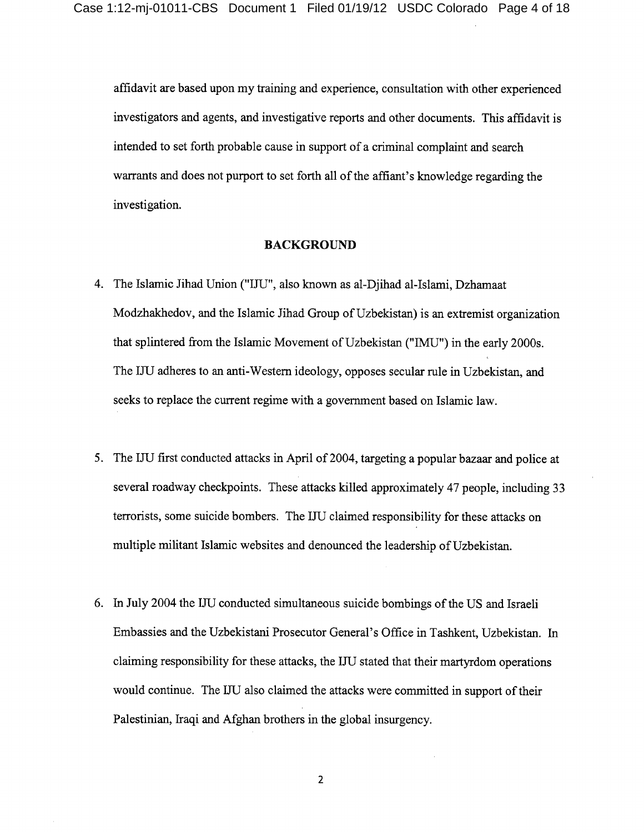affidavit are based upon my training and experience, consultation with other experienced investigators and agents, and investigative reports and other documents. This affidavit is intended to set forth probable cause in support of a criminal complaint and search warrants and does not purport to set forth all of the affiant's knowledge regarding the investigation.

#### **BACKGROUND**

- 4. The Islamic Jihad Union ("IJU", also known as al-Djihad al-Islami, Dzhamaat Modzhakhedov, and the Islamic Jihad Group of Uzbekistan) is an extremist organization that splintered from the Islamic Movement of Uzbekistan ("IMU") in the early 2000s. The IJU adheres to an anti-Western ideology, opposes secular rule in Uzbekistan, and seeks to replace the current regime with a government based on Islamic law.
- 5. The IJU first conducted attacks in April of 2004, targeting a popular bazaar and police at several roadway checkpoints. These attacks killed approximately 47 people, including 33 terrorists, some suicide bombers. The IJU claimed responsibility for these attacks on multiple militant Islamic websites and denounced the leadership of Uzbekistan.
- 6. In July 2004 the IJU conducted simultaneous suicide bombings of the US and Israeli Embassies and the Uzbekistani Prosecutor General's Office in Tashkent, Uzbekistan. In claiming responsibility for these attacks, the IJU stated that their martyrdom operations would continue. The IJU also claimed the attacks were committed in support of their Palestinian, Iraqi and Afghan brothers in the global insurgency.

 $\overline{2}$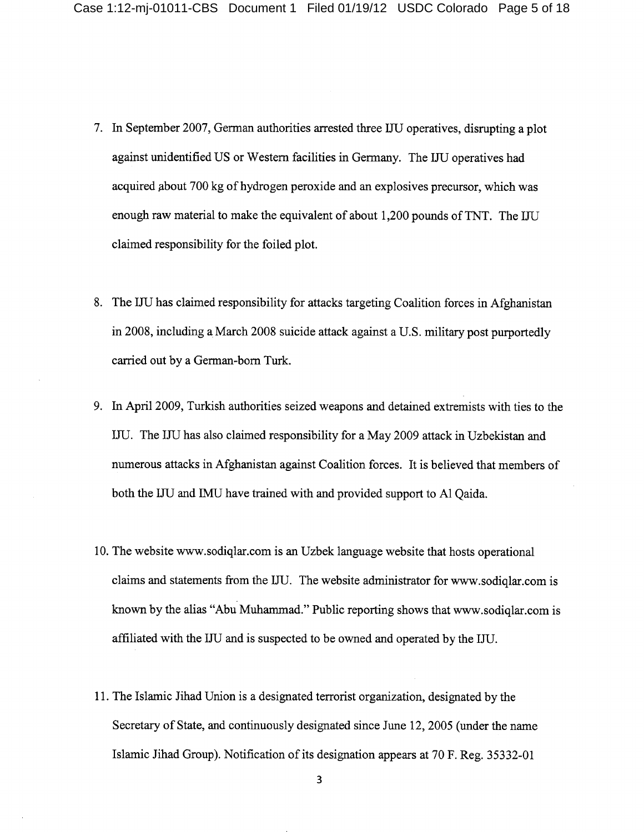- 7. In September 2007, German authorities arrested three IJU operatives, disrupting a plot against unidentified US or Western facilities in Germany. The IJU operatives had acquired about 700 kg of hydrogen peroxide and an explosives precursor, which was enough raw material to make the equivalent of about 1,200 pounds of TNT. The IJU claimed responsibility for the foiled plot.
- 8. The LIU has claimed responsibility for attacks targeting Coalition forces in Afghanistan in 2008, including a March 2008 suicide attack against a U.S. military post purportedly carried out by a German-born Turk.
- 9. In April 2009, Turkish authorities seized weapons and detained extremists with ties to the IJU. The IJU has also claimed responsibility for a May 2009 attack in Uzbekistan and numerous attacks in Afghanistan against Coalition forces. It is believed that members of both the IJU and IMU have trained with and provided support to Al Qaida.
- 10. The website www.sodiqlar.com is an Uzbek language website that hosts operational claims and statements from the IJU. The website administrator for www.sodiqlar.com is known by the alias "Abu Muhammad." Public reporting shows that www.sodiqlar.com is affiliated with the IJU and is suspected to be owned and operated by the IJU.
- 11. The Islamic Jihad Union is a designated terrorist organization, designated by the Secretary of State, and continuously designated since June 12, 2005 (under the name Islamic Jihad Group). Notification of its designation appears at 70 F. Reg. 35332-01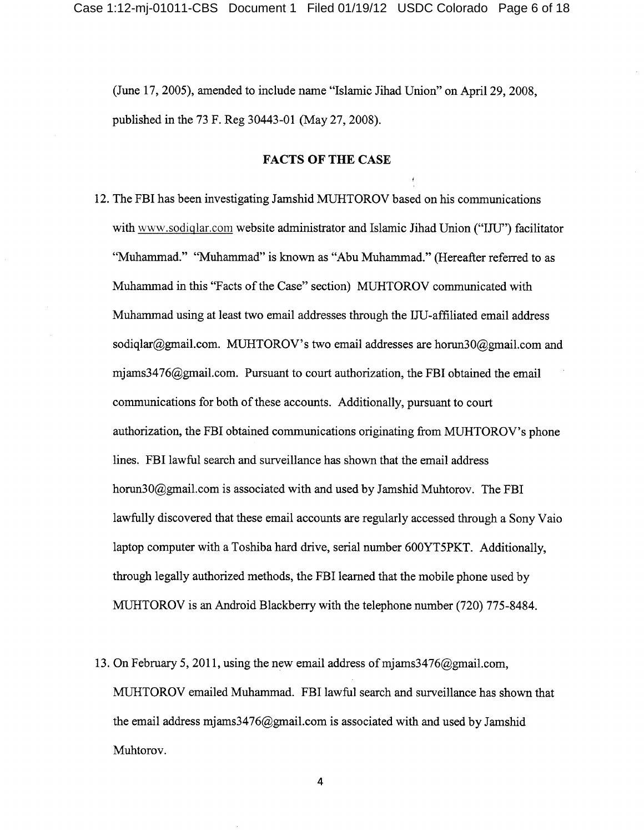(June 17, 2005), amended to include name "Islamic Jihad Union" on April 29, 2008, published in the 73 F. Reg 30443-01 (May 27, 2008).

#### **FACTS OF THE CASE**

- 12. The FBI has been investigating Jamshid MUHTOROV based on his communications with www.sodiqlar.com website administrator and Islamic Jihad Union ("IJU") facilitator "Muhammad." "Muhammad" is known as "Abu Muhammad." (Hereafter referred to as Muhammad in this "Facts of the Case" section) MUHTOROV communicated with Muhammad using at least two email addresses through the IJU-affiliated email address sodiqlar@gmail.com. MUHTOROV's two email addresses are horun30@gmail.com and mjams3476@gmail.com. Pursuant to court authorization, the FBI obtained the email communications for both of these accounts. Additionally, pursuant to court authorization, the FBI obtained communications originating from MUHTOROV's phone lines. FBI lawful search and surveillance has shown that the email address horun30@gmail.com is associated with and used by Jamshid Muhtorov. The FBI lawfully discovered that these email accounts are regularly accessed through a Sony Vaio laptop computer with a Toshiba hard drive, serial number 600YT5PKT. Additionally, through legally authorized methods, the FBI learned that the mobile phone used by MUHTOROV is an Android Blackberry with the telephone number (720) 775-8484.
- 13. On February 5, 2011, using the new email address of mjams  $3476$  (algmail.com, MUHTOROV emailed Muhammad. FBI lawful search and surveillance has shown that the email address mjams  $3476$  (a) gmail.com is associated with and used by Jamshid Muhtorov.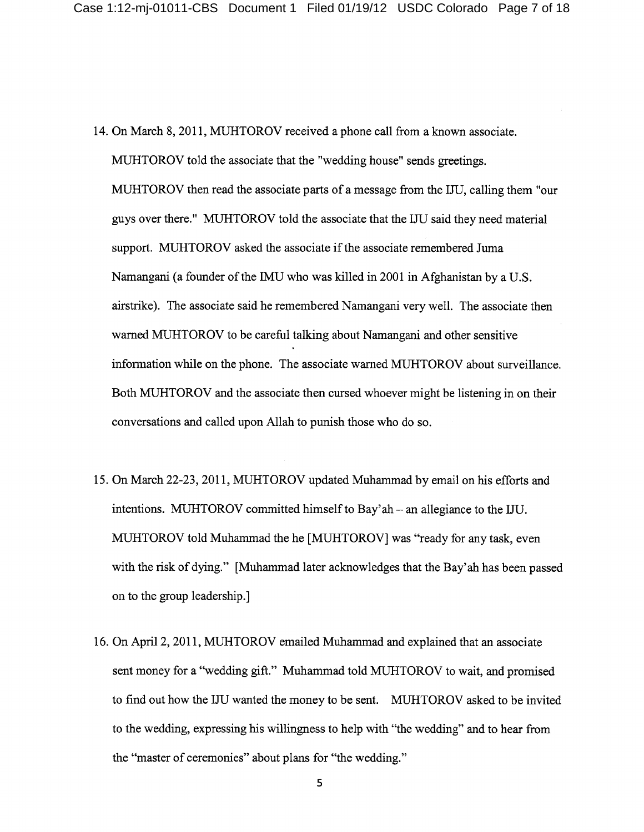- 14. On March 8, 2011, MUHTOROV received a phone call from a known associate. MUHTOROV told the associate that the "wedding house" sends greetings. MUHTOROV then read the associate parts of a message from the IJU, calling them "our" guys over there." MUHTOROV told the associate that the IJU said they need material support. MUHTOROV asked the associate if the associate remembered Juma Namangani (a founder of the IMU who was killed in 2001 in Afghanistan by a U.S. airstrike). The associate said he remembered Namangani very well. The associate then warned MUHTOROV to be careful talking about Namangani and other sensitive information while on the phone. The associate warned MUHTOROV about surveillance. Both MUHTOROV and the associate then cursed whoever might be listening in on their conversations and called upon Allah to punish those who do so.
- 15. On March 22-23, 2011, MUHTOROV updated Muhammad by email on his efforts and intentions. MUHTOROV committed himself to Bay'ah – an allegiance to the IJU. MUHTOROV told Muhammad the he [MUHTOROV] was "ready for any task, even with the risk of dying." [Muhammad later acknowledges that the Bay'ah has been passed on to the group leadership.
- 16. On April 2, 2011, MUHTOROV emailed Muhammad and explained that an associate sent money for a "wedding gift." Muhammad told MUHTOROV to wait, and promised to find out how the IJU wanted the money to be sent. MUHTOROV asked to be invited to the wedding, expressing his willingness to help with "the wedding" and to hear from the "master of ceremonies" about plans for "the wedding."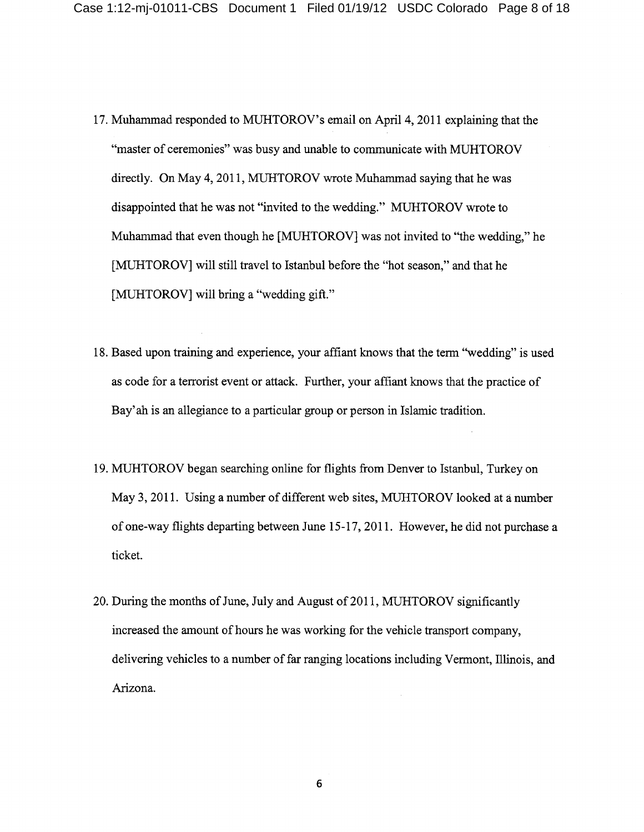- 17. Muhammad responded to MUHTOROV's email on April 4, 2011 explaining that the "master of ceremonies" was busy and unable to communicate with MUHTOROV directly. On May 4, 2011, MUHTOROV wrote Muhammad saying that he was disappointed that he was not "invited to the wedding." MUHTOROV wrote to Muhammad that even though he [MUHTOROV] was not invited to "the wedding," he [MUHTOROV] will still travel to Istanbul before the "hot season," and that he [MUHTOROV] will bring a "wedding gift."
- 18. Based upon training and experience, your affiant knows that the term "wedding" is used as code for a terrorist event or attack. Further, your affiant knows that the practice of Bay'ah is an allegiance to a particular group or person in Islamic tradition.
- 19. MUHTOROV began searching online for flights from Denver to Istanbul, Turkey on May 3, 2011. Using a number of different web sites, MUHTOROV looked at a number of one-way flights departing between June 15-17, 2011. However, he did not purchase a ticket.
- 20. During the months of June, July and August of 2011, MUHTOROV significantly increased the amount of hours he was working for the vehicle transport company, delivering vehicles to a number of far ranging locations including Vermont, Illinois, and Arizona.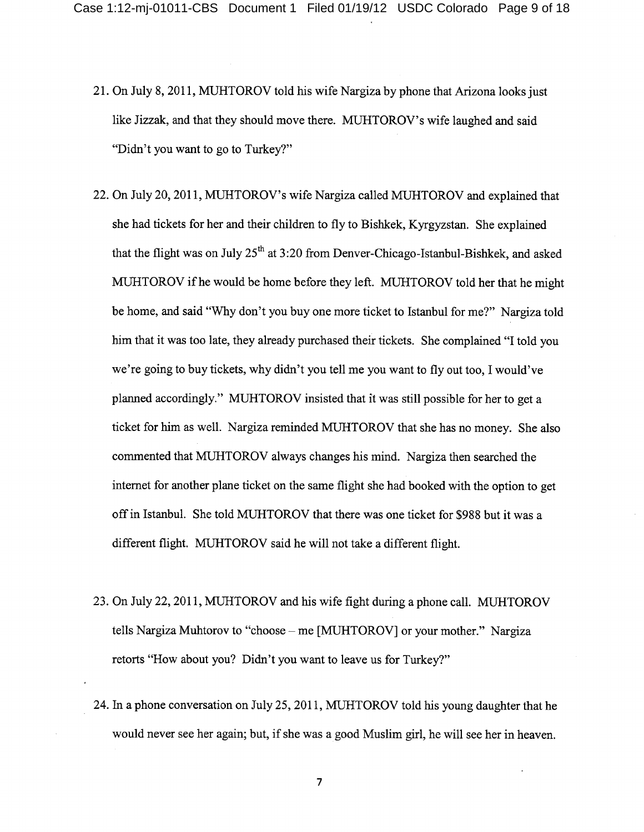- 21. On July 8, 2011, MUHTOROV told his wife Nargiza by phone that Arizona looks just like Jizzak, and that they should move there. MUHTOROV's wife laughed and said "Didn't you want to go to Turkey?"
- 22. On July 20, 2011, MUHTOROV's wife Nargiza called MUHTOROV and explained that she had tickets for her and their children to fly to Bishkek, Kyrgyzstan. She explained that the flight was on July  $25<sup>th</sup>$  at 3:20 from Denver-Chicago-Istanbul-Bishkek, and asked MUHTOROV if he would be home before they left. MUHTOROV told her that he might be home, and said "Why don't you buy one more ticket to Istanbul for me?" Nargiza told him that it was too late, they already purchased their tickets. She complained "I told you we're going to buy tickets, why didn't you tell me you want to fly out too, I would've planned accordingly." MUHTOROV insisted that it was still possible for her to get a ticket for him as well. Nargiza reminded MUHTOROV that she has no money. She also commented that MUHTOROV always changes his mind. Nargiza then searched the internet for another plane ticket on the same flight she had booked with the option to get off in Istanbul. She told MUHTOROV that there was one ticket for \$988 but it was a different flight. MUHTOROV said he will not take a different flight.
- 23. On July 22, 2011, MUHTOROV and his wife fight during a phone call. MUHTOROV tells Nargiza Muhtorov to "choose - me [MUHTOROV] or your mother." Nargiza retorts "How about you? Didn't you want to leave us for Turkey?"
- 24. In a phone conversation on July 25, 2011, MUHTOROV told his young daughter that he would never see her again; but, if she was a good Muslim girl, he will see her in heaven.

 $\overline{7}$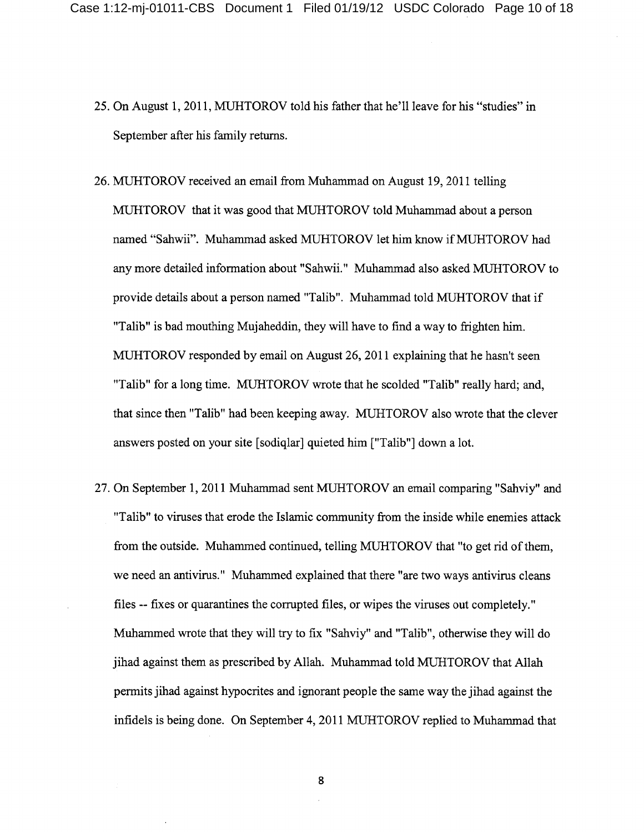- 25. On August 1, 2011, MUHTOROV told his father that he'll leave for his "studies" in September after his family returns.
- 26. MUHTOROV received an email from Muhammad on August 19, 2011 telling MUHTOROV that it was good that MUHTOROV told Muhammad about a person named "Sahwii". Muhammad asked MUHTOROV let him know if MUHTOROV had any more detailed information about "Sahwii." Muhammad also asked MUHTOROV to provide details about a person named "Talib". Muhammad told MUHTOROV that if "Talib" is bad mouthing Mujaheddin, they will have to find a way to frighten him. MUHTOROV responded by email on August 26, 2011 explaining that he hasn't seen "Talib" for a long time. MUHTOROV wrote that he scolded "Talib" really hard; and, that since then "Talib" had been keeping away. MUHTOROV also wrote that the clever answers posted on your site [sodiqlar] quieted him ["Talib"] down a lot.
- 27. On September 1, 2011 Muhammad sent MUHTOROV an email comparing "Sahviy" and "Talib" to viruses that erode the Islamic community from the inside while enemies attack from the outside. Muhammed continued, telling MUHTOROV that "to get rid of them, we need an antivirus." Muhammed explained that there "are two ways antivirus cleans" files -- fixes or quarantines the corrupted files, or wipes the viruses out completely." Muhammed wrote that they will try to fix "Sahviy" and "Talib", otherwise they will do jihad against them as prescribed by Allah. Muhammad told MUHTOROV that Allah permits jihad against hypocrites and ignorant people the same way the jihad against the infidels is being done. On September 4, 2011 MUHTOROV replied to Muhammad that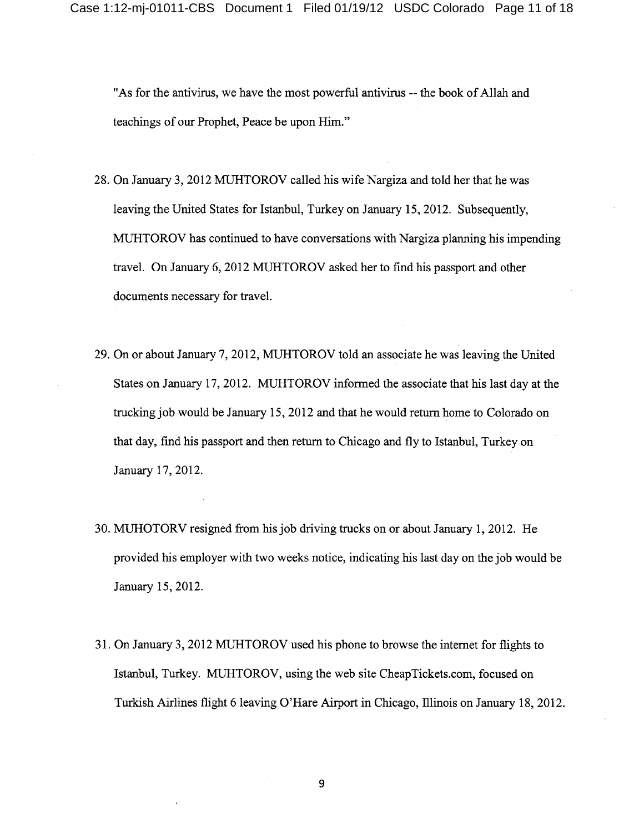"As for the antivirus, we have the most powerful antivirus -- the book of Allah and teachings of our Prophet, Peace be upon Him."

- 28. On January 3, 2012 MUHTOROV called his wife Nargiza and told her that he was leaving the United States for Islandul, Turkey on January 15, 2012. Subsequently, MUHTOROV has continued to have conversations with Nargiza planning his impending travel. On January 6, 2012 MUHTOROV asked her to find his passport and other documents necessary for travel.
- 29. On or about January 7, 2012, MUHTOROV told an associate he was leaving the United States on January 17, 2012. MUHTOROV informed the associate that his last day at the trucking job would be January 15, 2012 and that he would return home to Colorado on that day, find his passport and then return to Chicago and fly to Istanbul, Turkey on January 17, 2012.
- 30. MUHOTORV resigned from his job driving trucks on or about January 1, 2012. He provided his employer with two weeks notice, indicating his last day on the job would be January 15, 2012.
- 31. On January 3, 2012 MUHTOROV used his phone to browse the internet for flights to Istanbul, Turkey. MUHTOROV, using the web site CheapTickets.com, focused on Turkish Airlines flight 6 leaving O'Hare Airport in Chicago, Illinois on January 18, 2012.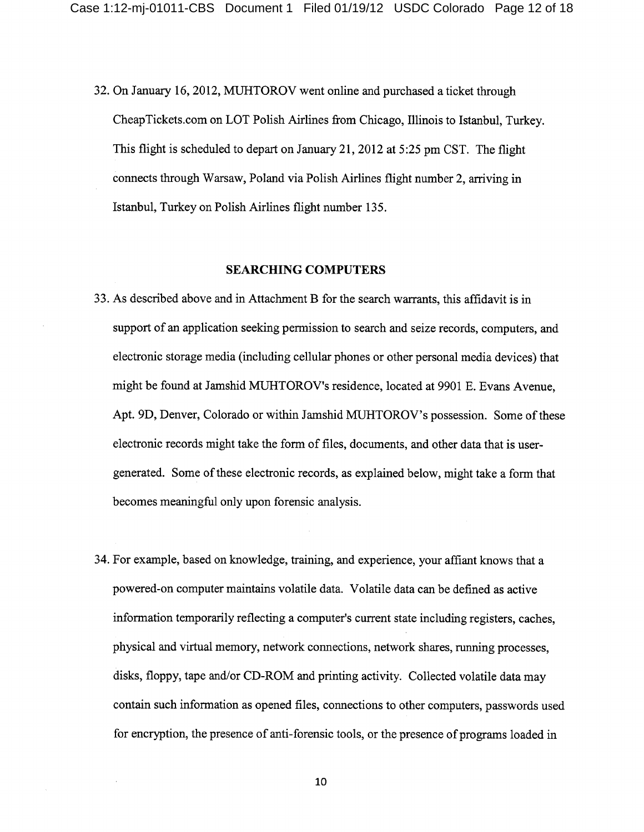32. On January 16, 2012, MUHTOROV went online and purchased a ticket through CheapTickets.com on LOT Polish Airlines from Chicago, Illinois to Istanbul, Turkey. This flight is scheduled to depart on January 21, 2012 at 5:25 pm CST. The flight connects through Warsaw, Poland via Polish Airlines flight number 2, arriving in Istanbul, Turkey on Polish Airlines flight number 135.

#### **SEARCHING COMPUTERS**

- 33. As described above and in Attachment B for the search warrants, this affidavit is in support of an application seeking permission to search and seize records, computers, and electronic storage media (including cellular phones or other personal media devices) that might be found at Jamshid MUHTOROV's residence, located at 9901 E. Evans Avenue, Apt. 9D, Denver, Colorado or within Jamshid MUHTOROV's possession. Some of these electronic records might take the form of files, documents, and other data that is usergenerated. Some of these electronic records, as explained below, might take a form that becomes meaningful only upon forensic analysis.
- 34. For example, based on knowledge, training, and experience, your affiant knows that a powered-on computer maintains volatile data. Volatile data can be defined as active information temporarily reflecting a computer's current state including registers, caches, physical and virtual memory, network connections, network shares, running processes, disks, floppy, tape and/or CD-ROM and printing activity. Collected volatile data may contain such information as opened files, connections to other computers, passwords used for encryption, the presence of anti-forensic tools, or the presence of programs loaded in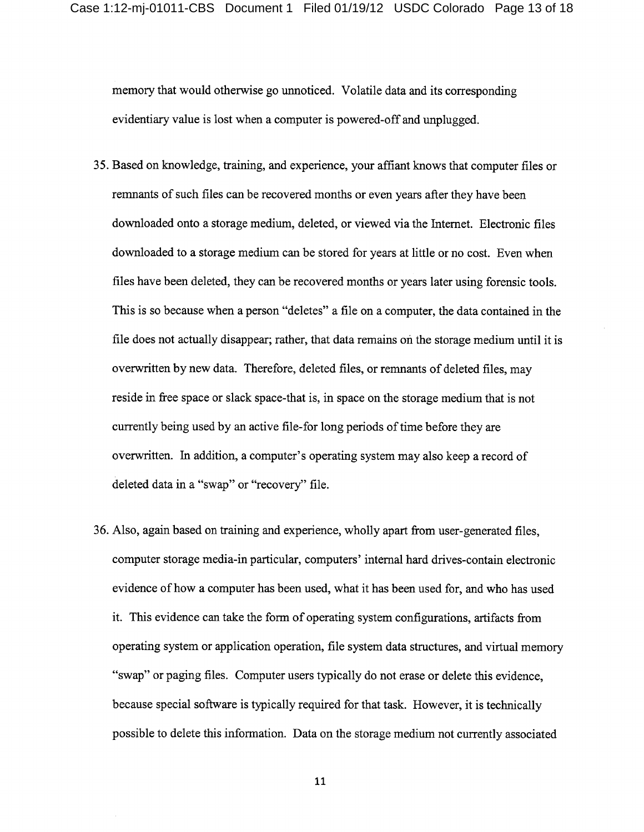memory that would otherwise go unnoticed. Volatile data and its corresponding evidentiary value is lost when a computer is powered-off and unplugged.

- 35. Based on knowledge, training, and experience, your affiant knows that computer files or remnants of such files can be recovered months or even years after they have been downloaded onto a storage medium, deleted, or viewed via the Internet. Electronic files downloaded to a storage medium can be stored for years at little or no cost. Even when files have been deleted, they can be recovered months or years later using forensic tools. This is so because when a person "deletes" a file on a computer, the data contained in the file does not actually disappear; rather, that data remains on the storage medium until it is overwritten by new data. Therefore, deleted files, or remnants of deleted files, may reside in free space or slack space-that is, in space on the storage medium that is not currently being used by an active file-for long periods of time before they are overwritten. In addition, a computer's operating system may also keep a record of deleted data in a "swap" or "recovery" file.
- 36. Also, again based on training and experience, wholly apart from user-generated files, computer storage media-in particular, computers' internal hard drives-contain electronic evidence of how a computer has been used, what it has been used for, and who has used it. This evidence can take the form of operating system configurations, artifacts from operating system or application operation, file system data structures, and virtual memory "swap" or paging files. Computer users typically do not erase or delete this evidence, because special software is typically required for that task. However, it is technically possible to delete this information. Data on the storage medium not currently associated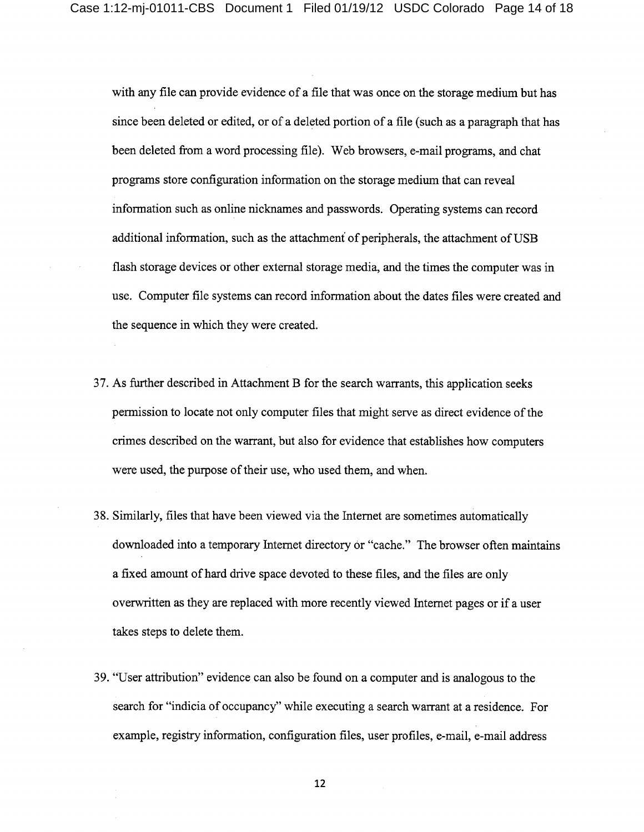with any file can provide evidence of a file that was once on the storage medium but has since been deleted or edited, or of a deleted portion of a file (such as a paragraph that has been deleted from a word processing file). Web browsers, e-mail programs, and chat programs store configuration information on the storage medium that can reveal information such as online nicknames and passwords. Operating systems can record additional information, such as the attachment of peripherals, the attachment of USB flash storage devices or other external storage media, and the times the computer was in use. Computer file systems can record information about the dates files were created and the sequence in which they were created.

- 37. As further described in Attachment B for the search warrants, this application seeks permission to locate not only computer files that might serve as direct evidence of the crimes described on the warrant, but also for evidence that establishes how computers were used, the purpose of their use, who used them, and when.
- 38. Similarly, files that have been viewed via the Internet are sometimes automatically downloaded into a temporary Internet directory or "cache." The browser often maintains a fixed amount of hard drive space devoted to these files, and the files are only overwritten as they are replaced with more recently viewed Internet pages or if a user takes steps to delete them.
- 39. "User attribution" evidence can also be found on a computer and is analogous to the search for "indicia of occupancy" while executing a search warrant at a residence. For example, registry information, configuration files, user profiles, e-mail, e-mail address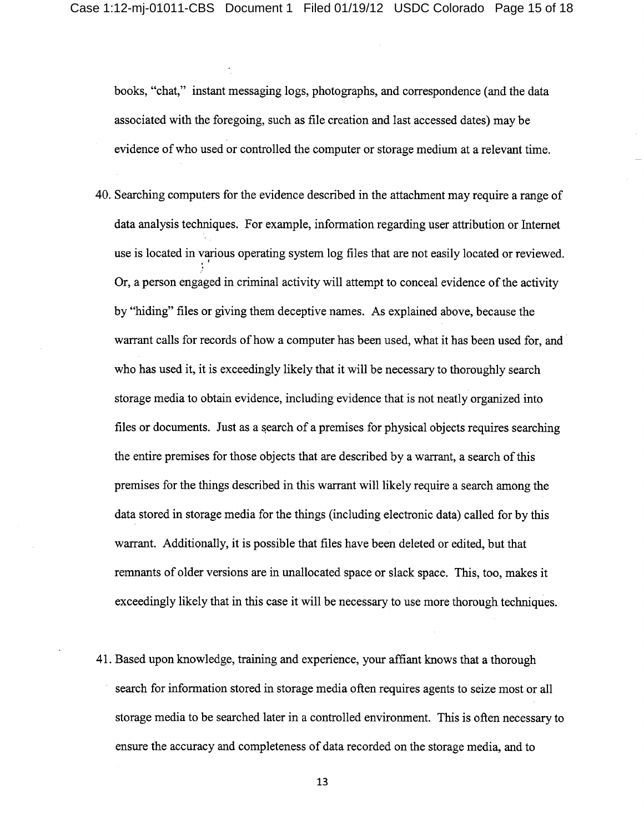books, "chat," instant messaging logs, photographs, and correspondence (and the data associated with the foregoing, such as file creation and last accessed dates) may be evidence of who used or controlled the computer or storage medium at a relevant time.

- 40. Searching computers for the evidence described in the attachment may require a range of data analysis techniques. For example, information regarding user attribution or Internet use is located in various operating system log files that are not easily located or reviewed. Or, a person engaged in criminal activity will attempt to conceal evidence of the activity by "hiding" files or giving them deceptive names. As explained above, because the warrant calls for records of how a computer has been used, what it has been used for, and who has used it, it is exceedingly likely that it will be necessary to thoroughly search storage media to obtain evidence, including evidence that is not neatly organized into files or documents. Just as a search of a premises for physical objects requires searching the entire premises for those objects that are described by a warrant, a search of this premises for the things described in this warrant will likely require a search among the data stored in storage media for the things (including electronic data) called for by this warrant. Additionally, it is possible that files have been deleted or edited, but that remnants of older versions are in unallocated space or slack space. This, too, makes it exceedingly likely that in this case it will be necessary to use more thorough techniques.
- 41. Based upon knowledge, training and experience, your affiant knows that a thorough search for information stored in storage media often requires agents to seize most or all storage media to be searched later in a controlled environment. This is often necessary to ensure the accuracy and completeness of data recorded on the storage media, and to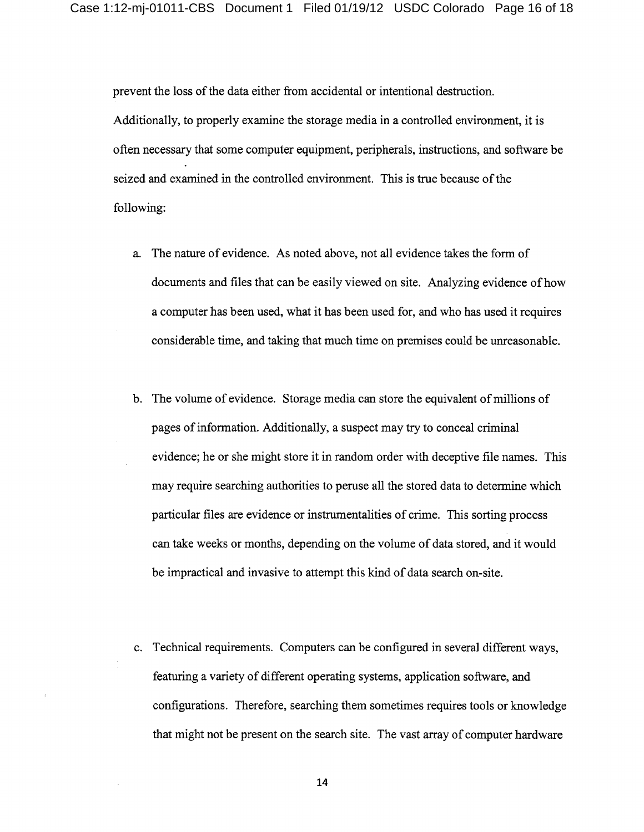prevent the loss of the data either from accidental or intentional destruction.

Additionally, to properly examine the storage media in a controlled environment, it is often necessary that some computer equipment, peripherals, instructions, and software be seized and examined in the controlled environment. This is true because of the following:

- a. The nature of evidence. As noted above, not all evidence takes the form of documents and files that can be easily viewed on site. Analyzing evidence of how a computer has been used, what it has been used for, and who has used it requires considerable time, and taking that much time on premises could be unreasonable.
- b. The volume of evidence. Storage media can store the equivalent of millions of pages of information. Additionally, a suspect may try to conceal criminal evidence; he or she might store it in random order with deceptive file names. This may require searching authorities to peruse all the stored data to determine which particular files are evidence or instrumentalities of crime. This sorting process can take weeks or months, depending on the volume of data stored, and it would be impractical and invasive to attempt this kind of data search on-site.
- c. Technical requirements. Computers can be configured in several different ways, featuring a variety of different operating systems, application software, and configurations. Therefore, searching them sometimes requires tools or knowledge that might not be present on the search site. The vast array of computer hardware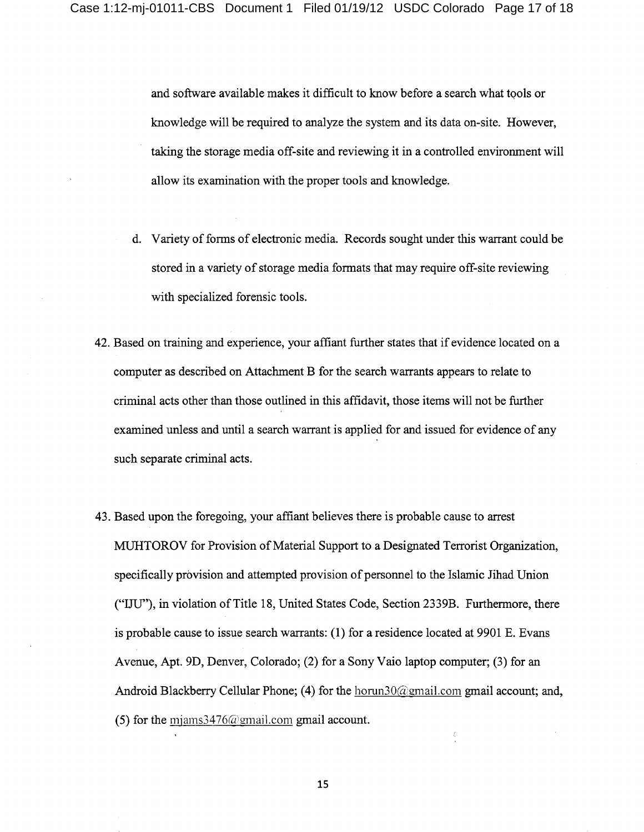and software available makes it difficult to know before a search what tools or knowledge will be required to analyze the system and its data on-site. However, taking the storage media off-site and reviewing it in a controlled environment will allow its examination with the proper tools and knowledge.

- d. Variety of forms of electronic media. Records sought under this warrant could be stored in a variety of storage media formats that may require off-site reviewing with specialized forensic tools.
- 42. Based on training and experience, your affiant further states that if evidence located on a computer as described on Attachment B for the search warrants appears to relate to criminal acts other than those outlined in this affidavit, those items will not be further examined unless and until a search warrant is applied for and issued for evidence of any such separate criminal acts.
- 43. Based upon the foregoing, your affiant believes there is probable cause to arrest MUHTOROV for Provision of Material Support to a Designated Terrorist Organization, specifically provision and attempted provision of personnel to the Islamic Jihad Union ("IJU"), in violation of Title 18, United States Code, Section 2339B. Furthermore, there is probable cause to issue search warrants: (1) for a residence located at 9901 E. Evans Avenue, Apt. 9D, Denver, Colorado; (2) for a Sony Vaio laptop computer; (3) for an Android Blackberry Cellular Phone; (4) for the horun30@gmail.com gmail account; and, (5) for the miams  $3476$  (a) gmail.com gmail account.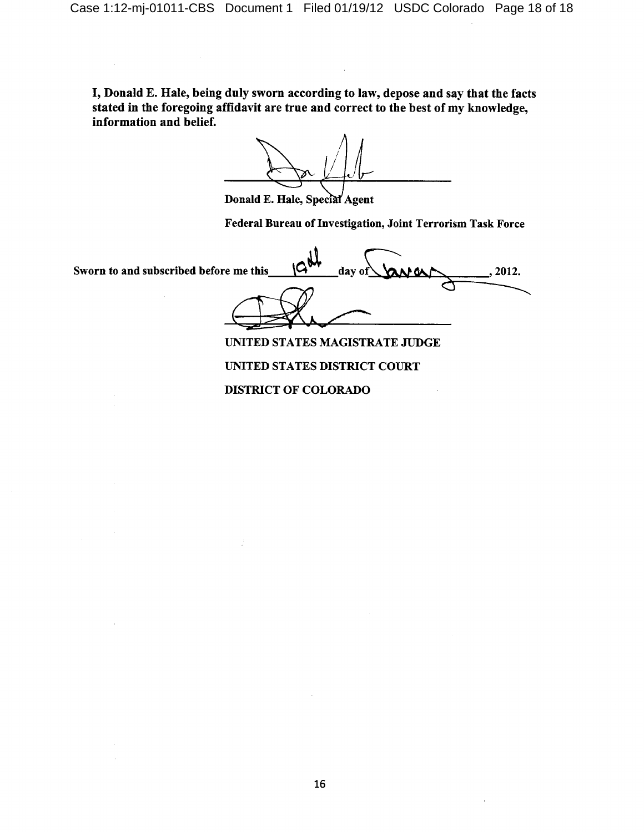I, Donald E. Hale, being duly sworn according to law, depose and say that the facts stated in the foregoing affidavit are true and correct to the best of my knowledge, information and belief.

Donald E. Hale, Special Agent

Federal Bureau of Investigation, Joint Terrorism Task Force

Sworn to and subscribed before me this lС day of 2012.

UNITED STATES MAGISTRATE JUDGE UNITED STATES DISTRICT COURT **DISTRICT OF COLORADO**